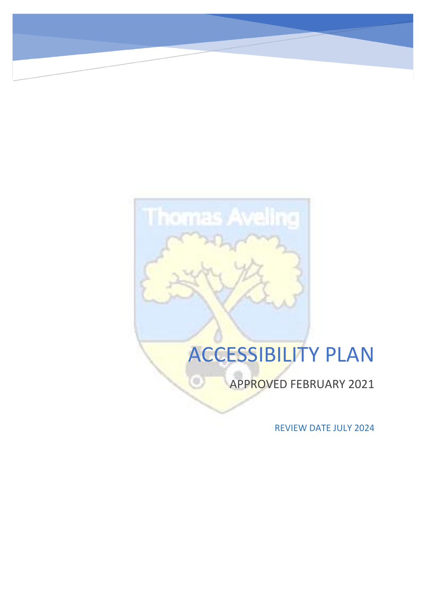# ACCESSIBILITY PLAN

**Thomas Aveling** 

G

APPROVED FEBRUARY 2021

REVIEW DATE JULY 2024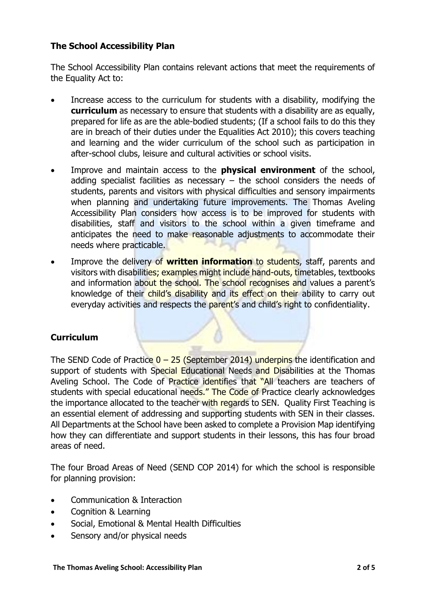## **The School Accessibility Plan**

The School Accessibility Plan contains relevant actions that meet the requirements of the Equality Act to:

- Increase access to the curriculum for students with a disability, modifying the **curriculum** as necessary to ensure that students with a disability are as equally, prepared for life as are the able-bodied students; (If a school fails to do this they are in breach of their duties under the Equalities Act 2010); this covers teaching and learning and the wider curriculum of the school such as participation in after-school clubs, leisure and cultural activities or school visits.
- Improve and maintain access to the **physical environment** of the school, adding specialist facilities as necessary  $-$  the school considers the needs of students, parents and visitors with physical difficulties and sensory impairments when planning and undertaking future improvements. The Thomas Aveling Accessibility Plan considers how access is to be improved for students with disabilities, staff and visitors to the school within a given timeframe and anticipates the need to make reasonable adjustments to accommodate their needs where practicable.
- Improve the delivery of **written information** to students, staff, parents and visitors with disabilities; examples might include hand-outs, timetables, textbooks and information about the school. The school recognises and values a parent's knowledge of their child's disability and its effect on their ability to carry out everyday activities and respects the parent's and child's right to confidentiality.

### **Curriculum**

The SEND Code of Practice  $0 - 25$  (September 2014) underpins the identification and support of students with Special Educational Needs and Disabilities at the Thomas Aveling School. The Code of Practice identifies that "All teachers are teachers of students with special educational needs." The Code of Practice clearly acknowledges the importance allocated to the teacher with regards to SEN. Ouality First Teaching is an essential element of addressing and supporting students with SEN in their classes. All Departments at the School have been asked to complete a Provision Map identifying how they can differentiate and support students in their lessons, this has four broad areas of need.

The four Broad Areas of Need (SEND COP 2014) for which the school is responsible for planning provision:

- Communication & Interaction
- Cognition & Learning
- Social, Emotional & Mental Health Difficulties
- Sensory and/or physical needs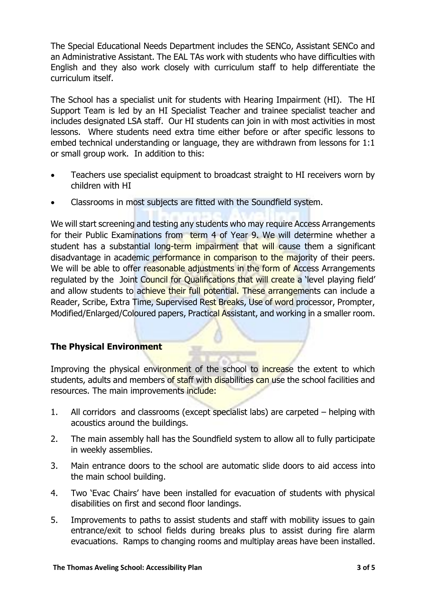The Special Educational Needs Department includes the SENCo, Assistant SENCo and an Administrative Assistant. The EAL TAs work with students who have difficulties with English and they also work closely with curriculum staff to help differentiate the curriculum itself.

The School has a specialist unit for students with Hearing Impairment (HI). The HI Support Team is led by an HI Specialist Teacher and trainee specialist teacher and includes designated LSA staff. Our HI students can join in with most activities in most lessons. Where students need extra time either before or after specific lessons to embed technical understanding or language, they are withdrawn from lessons for 1:1 or small group work. In addition to this:

- Teachers use specialist equipment to broadcast straight to HI receivers worn by children with HI
- Classrooms in most subjects are fitted with the Soundfield system.

We will start screening and testing any students who may require Access Arrangements for their Public Examinations from term 4 of Year 9. We will determine whether a student has a substantial long-term impairment that will cause them a significant disadvantage in academic performance in comparison to the majority of their peers. We will be able to offer reasonable adjustments in the form of Access Arrangements regulated by the Joint Council for Qualifications that will create a level playing field' and allow students to achieve their full potential. These arrangements can include a Reader, Scribe, Extra Time, Supervised Rest Breaks, Use of word processor, Prompter, Modified/Enlarged/Coloured papers, Practical Assistant, and working in a smaller room.

## **The Physical Environment**

Improving the physical environment of the school to increase the extent to which students, adults and members of staff with disabilities can use the school facilities and resources. The main improvements include:

- 1. All corridors and classrooms (except specialist labs) are carpeted helping with acoustics around the buildings.
- 2. The main assembly hall has the Soundfield system to allow all to fully participate in weekly assemblies.
- 3. Main entrance doors to the school are automatic slide doors to aid access into the main school building.
- 4. Two 'Evac Chairs' have been installed for evacuation of students with physical disabilities on first and second floor landings.
- 5. Improvements to paths to assist students and staff with mobility issues to gain entrance/exit to school fields during breaks plus to assist during fire alarm evacuations. Ramps to changing rooms and multiplay areas have been installed.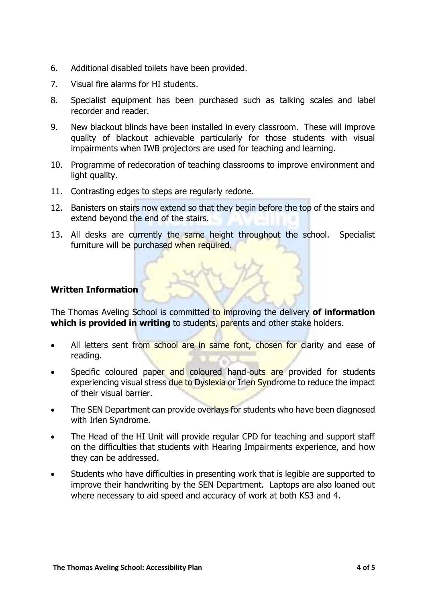- 6. Additional disabled toilets have been provided.
- 7. Visual fire alarms for HI students.
- 8. Specialist equipment has been purchased such as talking scales and label recorder and reader.
- 9. New blackout blinds have been installed in every classroom. These will improve quality of blackout achievable particularly for those students with visual impairments when IWB projectors are used for teaching and learning.
- 10. Programme of redecoration of teaching classrooms to improve environment and light quality.
- 11. Contrasting edges to steps are regularly redone.
- 12. Banisters on stairs now extend so that they begin before the top of the stairs and extend beyond the end of the stairs.
- 13. All desks are currently the same height throughout the school. Specialist furniture will be purchased when required.

### **Written Information**

The Thomas Aveling School is committed to improving the delivery **of information which is provided in writing** to students, parents and other stake holders.

- All letters sent from school are in same font, chosen for clarity and ease of reading.
- Specific coloured paper and coloured hand-outs are provided for students experiencing visual stress due to Dyslexia or Irlen Syndrome to reduce the impact of their visual barrier.
- The SEN Department can provide overlays for students who have been diagnosed with Irlen Syndrome.
- The Head of the HI Unit will provide regular CPD for teaching and support staff on the difficulties that students with Hearing Impairments experience, and how they can be addressed.
- Students who have difficulties in presenting work that is legible are supported to improve their handwriting by the SEN Department. Laptops are also loaned out where necessary to aid speed and accuracy of work at both KS3 and 4.